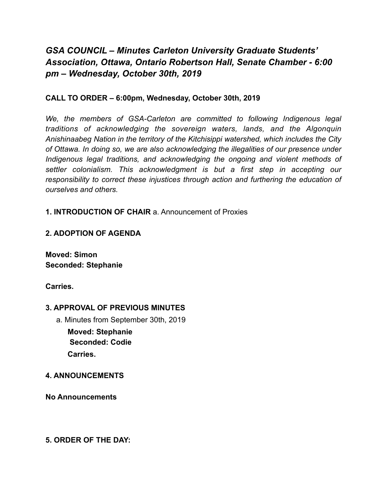# *GSA COUNCIL – Minutes Carleton University Graduate Students' Association, Ottawa, Ontario Robertson Hall, Senate Chamber - 6:00 pm – Wednesday, October 30th, 2019*

## **CALL TO ORDER – 6:00pm, Wednesday, October 30th, 2019**

We, the members of GSA-Carleton are committed to following Indigenous legal *traditions of acknowledging the sovereign waters, lands, and the Algonquin Anishinaabeg Nation in the territory of the Kitchisippi watershed, which includes the City of Ottawa. In doing so, we are also acknowledging the illegalities of our presence under Indigenous legal traditions, and acknowledging the ongoing and violent methods of settler colonialism. This acknowledgment is but a first step in accepting our responsibility to correct these injustices through action and furthering the education of ourselves and others.* 

### **1. INTRODUCTION OF CHAIR** a. Announcement of Proxies

## **2. ADOPTION OF AGENDA**

**Moved: Simon Seconded: Stephanie** 

**Carries.** 

## **3. APPROVAL OF PREVIOUS MINUTES**

a. Minutes from September 30th, 2019

**Moved: Stephanie Seconded: Codie Carries.** 

#### **4. ANNOUNCEMENTS**

**No Announcements** 

**5. ORDER OF THE DAY:**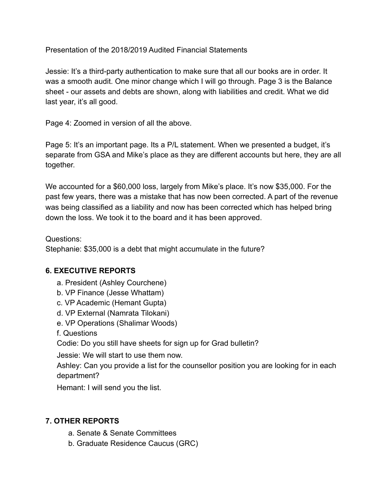Presentation of the 2018/2019 Audited Financial Statements

Jessie: It's a third-party authentication to make sure that all our books are in order. It was a smooth audit. One minor change which I will go through. Page 3 is the Balance sheet - our assets and debts are shown, along with liabilities and credit. What we did last year, it's all good.

Page 4: Zoomed in version of all the above.

Page 5: It's an important page. Its a P/L statement. When we presented a budget, it's separate from GSA and Mike's place as they are different accounts but here, they are all together.

We accounted for a \$60,000 loss, largely from Mike's place. It's now \$35,000. For the past few years, there was a mistake that has now been corrected. A part of the revenue was being classified as a liability and now has been corrected which has helped bring down the loss. We took it to the board and it has been approved.

## Questions:

Stephanie: \$35,000 is a debt that might accumulate in the future?

## **6. EXECUTIVE REPORTS**

- a. President (Ashley Courchene)
- b. VP Finance (Jesse Whattam)
- c. VP Academic (Hemant Gupta)
- d. VP External (Namrata Tilokani)
- e. VP Operations (Shalimar Woods)
- f. Questions

Codie: Do you still have sheets for sign up for Grad bulletin?

Jessie: We will start to use them now.

Ashley: Can you provide a list for the counsellor position you are looking for in each department?

Hemant: I will send you the list.

## **7. OTHER REPORTS**

- a. Senate & Senate Committees
- b. Graduate Residence Caucus (GRC)